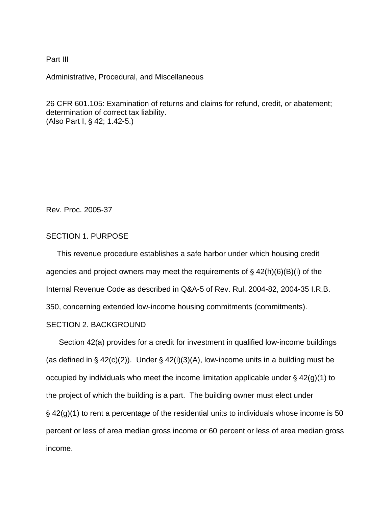## Part III

Administrative, Procedural, and Miscellaneous

26 CFR 601.105: Examination of returns and claims for refund, credit, or abatement; determination of correct tax liability. (Also Part I, § 42; 1.42-5.)

Rev. Proc. 2005-37

# SECTION 1. PURPOSE

 This revenue procedure establishes a safe harbor under which housing credit agencies and project owners may meet the requirements of  $\S$  42(h)(6)(B)(i) of the Internal Revenue Code as described in Q&A-5 of Rev. Rul. 2004-82, 2004-35 I.R.B. 350, concerning extended low-income housing commitments (commitments).

### SECTION 2. BACKGROUND

 Section 42(a) provides for a credit for investment in qualified low-income buildings (as defined in  $\S$  42(c)(2)). Under  $\S$  42(i)(3)(A), low-income units in a building must be occupied by individuals who meet the income limitation applicable under  $\frac{1}{2}$  42(g)(1) to the project of which the building is a part. The building owner must elect under  $\frac{1}{2}$  42(g)(1) to rent a percentage of the residential units to individuals whose income is 50 percent or less of area median gross income or 60 percent or less of area median gross income.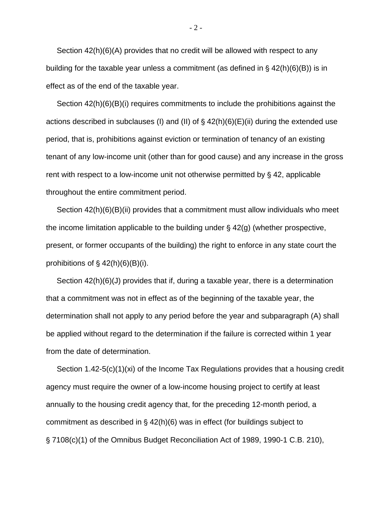Section 42(h)(6)(A) provides that no credit will be allowed with respect to any building for the taxable year unless a commitment (as defined in  $\S$  42(h)(6)(B)) is in effect as of the end of the taxable year.

 Section 42(h)(6)(B)(i) requires commitments to include the prohibitions against the actions described in subclauses (I) and (II) of  $\S$  42(h)(6)(E)(ii) during the extended use period, that is, prohibitions against eviction or termination of tenancy of an existing tenant of any low-income unit (other than for good cause) and any increase in the gross rent with respect to a low-income unit not otherwise permitted by  $\S$  42, applicable throughout the entire commitment period.

 Section 42(h)(6)(B)(ii) provides that a commitment must allow individuals who meet the income limitation applicable to the building under  $\S$  42(g) (whether prospective, present, or former occupants of the building) the right to enforce in any state court the prohibitions of  $\S$  42(h)(6)(B)(i).

 Section 42(h)(6)(J) provides that if, during a taxable year, there is a determination that a commitment was not in effect as of the beginning of the taxable year, the determination shall not apply to any period before the year and subparagraph (A) shall be applied without regard to the determination if the failure is corrected within 1 year from the date of determination.

 Section 1.42-5(c)(1)(xi) of the Income Tax Regulations provides that a housing credit agency must require the owner of a low-income housing project to certify at least annually to the housing credit agency that, for the preceding 12-month period, a commitment as described in  $\S$  42(h)(6) was in effect (for buildings subject to § 7108(c)(1) of the Omnibus Budget Reconciliation Act of 1989, 1990-1 C.B. 210),

 $-2 -$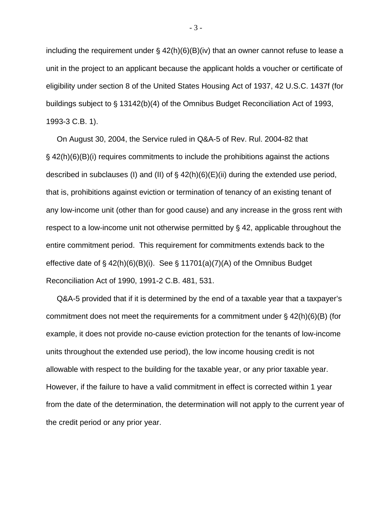including the requirement under  $\frac{1}{2}$  42(h)(6)(B)(iv) that an owner cannot refuse to lease a unit in the project to an applicant because the applicant holds a voucher or certificate of eligibility under section 8 of the United States Housing Act of 1937, 42 U.S.C. 1437f (for buildings subject to § 13142(b)(4) of the Omnibus Budget Reconciliation Act of 1993, 1993-3 C.B. 1).

 On August 30, 2004, the Service ruled in Q&A-5 of Rev. Rul. 2004-82 that  $\frac{1}{2}$  42(h)(6)(B)(i) requires commitments to include the prohibitions against the actions described in subclauses (I) and (II) of  $\S$  42(h)(6)(E)(ii) during the extended use period, that is, prohibitions against eviction or termination of tenancy of an existing tenant of any low-income unit (other than for good cause) and any increase in the gross rent with respect to a low-income unit not otherwise permitted by  $\S$  42, applicable throughout the entire commitment period. This requirement for commitments extends back to the effective date of  $\frac{6}{5}$  42(h)(6)(B)(i). See  $\frac{6}{5}$  11701(a)(7)(A) of the Omnibus Budget Reconciliation Act of 1990, 1991-2 C.B. 481, 531.

 Q&A-5 provided that if it is determined by the end of a taxable year that a taxpayer's commitment does not meet the requirements for a commitment under  $\S$  42(h)(6)(B) (for example, it does not provide no-cause eviction protection for the tenants of low-income units throughout the extended use period), the low income housing credit is not allowable with respect to the building for the taxable year, or any prior taxable year. However, if the failure to have a valid commitment in effect is corrected within 1 year from the date of the determination, the determination will not apply to the current year of the credit period or any prior year.

- 3 -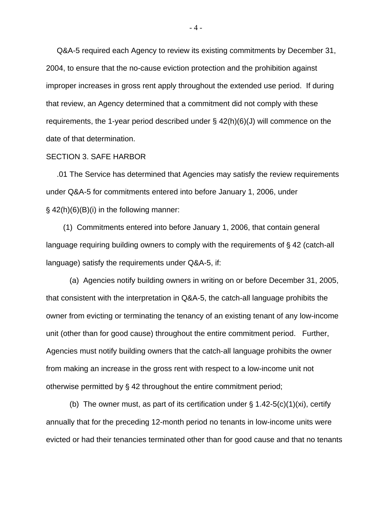Q&A-5 required each Agency to review its existing commitments by December 31, 2004, to ensure that the no-cause eviction protection and the prohibition against improper increases in gross rent apply throughout the extended use period. If during that review, an Agency determined that a commitment did not comply with these requirements, the 1-year period described under § 42(h)(6)(J) will commence on the date of that determination.

#### SECTION 3. SAFE HARBOR

 .01 The Service has determined that Agencies may satisfy the review requirements under Q&A-5 for commitments entered into before January 1, 2006, under  $\frac{1}{2}$  42(h)(6)(B)(i) in the following manner:

 (1) Commitments entered into before January 1, 2006, that contain general language requiring building owners to comply with the requirements of  $\S$  42 (catch-all language) satisfy the requirements under Q&A-5, if:

 (a) Agencies notify building owners in writing on or before December 31, 2005, that consistent with the interpretation in Q&A-5, the catch-all language prohibits the owner from evicting or terminating the tenancy of an existing tenant of any low-income unit (other than for good cause) throughout the entire commitment period. Further, Agencies must notify building owners that the catch-all language prohibits the owner from making an increase in the gross rent with respect to a low-income unit not otherwise permitted by  $\S$  42 throughout the entire commitment period;

(b) The owner must, as part of its certification under  $\S$  1.42-5(c)(1)(xi), certify annually that for the preceding 12-month period no tenants in low-income units were evicted or had their tenancies terminated other than for good cause and that no tenants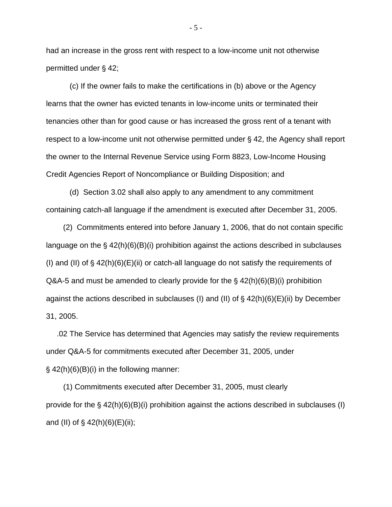had an increase in the gross rent with respect to a low-income unit not otherwise permitted under  $§$  42;

 (c) If the owner fails to make the certifications in (b) above or the Agency learns that the owner has evicted tenants in low-income units or terminated their tenancies other than for good cause or has increased the gross rent of a tenant with respect to a low-income unit not otherwise permitted under  $\S$  42, the Agency shall report the owner to the Internal Revenue Service using Form 8823, Low-Income Housing Credit Agencies Report of Noncompliance or Building Disposition; and

 (d) Section 3.02 shall also apply to any amendment to any commitment containing catch-all language if the amendment is executed after December 31, 2005.

 (2) Commitments entered into before January 1, 2006, that do not contain specific language on the  $\S$  42(h)(6)(B)(i) prohibition against the actions described in subclauses (I) and (II) of  $\S$  42(h)(6)(E)(ii) or catch-all language do not satisfy the requirements of Q&A-5 and must be amended to clearly provide for the  $\frac{1}{5}$  42(h)(6)(B)(i) prohibition against the actions described in subclauses (I) and (II) of  $\S$  42(h)(6)(E)(ii) by December 31, 2005.

 .02 The Service has determined that Agencies may satisfy the review requirements under Q&A-5 for commitments executed after December 31, 2005, under  $\S$  42(h)(6)(B)(i) in the following manner:

 (1) Commitments executed after December 31, 2005, must clearly provide for the  $\S$  42(h)(6)(B)(i) prohibition against the actions described in subclauses (I) and (II) of  $\S$  42(h)(6)(E)(ii);

- 5 -